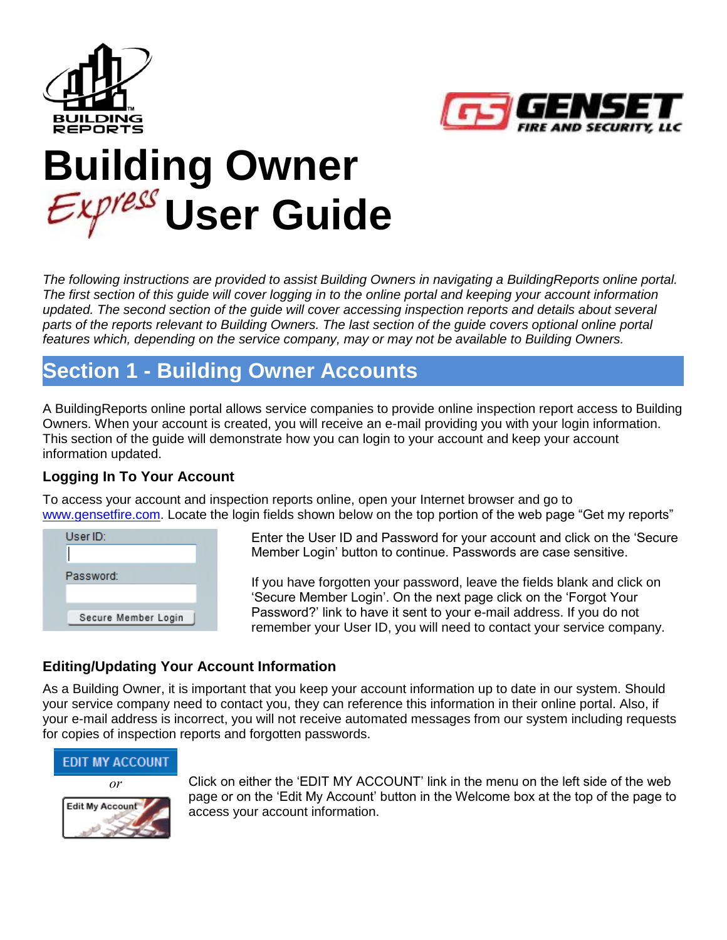



# **Building Owner User Guide**

*The following instructions are provided to assist Building Owners in navigating a BuildingReports online portal. The first section of this guide will cover logging in to the online portal and keeping your account information updated. The second section of the guide will cover accessing inspection reports and details about several parts of the reports relevant to Building Owners. The last section of the guide covers optional online portal features which, depending on the service company, may or may not be available to Building Owners.*

# **Section 1 - Building Owner Accounts**

A BuildingReports online portal allows service companies to provide online inspection report access to Building Owners. When your account is created, you will receive an e-mail providing you with your login information. This section of the guide will demonstrate how you can login to your account and keep your account information updated.

#### **Logging In To Your Account**

To access your account and inspection reports online, open your Internet browser and go to [www.gensetfire.com.](http://www.gensetfire.com/) Locate the login fields shown below on the top portion of the web page "Get my reports"



Enter the User ID and Password for your account and click on the 'Secure Member Login' button to continue. Passwords are case sensitive.

If you have forgotten your password, leave the fields blank and click on 'Secure Member Login'. On the next page click on the 'Forgot Your Password?' link to have it sent to your e-mail address. If you do not remember your User ID, you will need to contact your service company.

#### **Editing/Updating Your Account Information**

As a Building Owner, it is important that you keep your account information up to date in our system. Should your service company need to contact you, they can reference this information in their online portal. Also, if your e-mail address is incorrect, you will not receive automated messages from our system including requests for copies of inspection reports and forgotten passwords.

#### **EDIT MY ACCOUNT**



*or* Click on either the 'EDIT MY ACCOUNT' link in the menu on the left side of the web page or on the 'Edit My Account' button in the Welcome box at the top of the page to access your account information.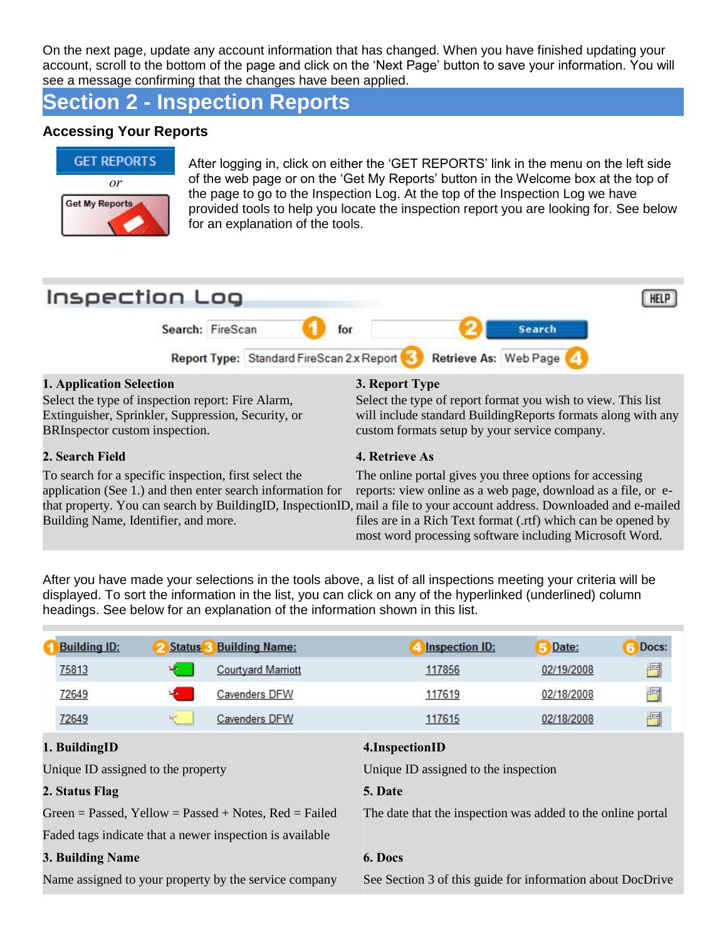On the next page, update any account information that has changed. When you have finished updating your account, scroll to the bottom of the page and click on the 'Next Page' button to save your information. You will see a message confirming that the changes have been applied.

# **Section 2 - Inspection Reports**

#### **Accessing Your Reports**



After logging in, click on either the 'GET REPORTS' link in the menu on the left side of the web page or on the 'Get My Reports' button in the Welcome box at the top of the page to go to the Inspection Log. At the top of the Inspection Log we have provided tools to help you locate the inspection report you are looking for. See below for an explanation of the tools.



After you have made your selections in the tools above, a list of all inspections meeting your criteria will be displayed. To sort the information in the list, you can click on any of the hyperlinked (underlined) column headings. See below for an explanation of the information shown in this list.

| <b>Building ID:</b>                | <b>Status</b> 3 | <b>Building Name:</b>                                    | <b>Inspection ID:</b>                                       | Date:      | Docs: |
|------------------------------------|-----------------|----------------------------------------------------------|-------------------------------------------------------------|------------|-------|
| 75813                              |                 | <b>Courtyard Marriott</b>                                | 117856                                                      | 02/19/2008 | 圚     |
| 72649                              |                 | <b>Cavenders DFW</b>                                     | 117619                                                      | 02/18/2008 | 闛     |
| 72649                              |                 | <b>Cavenders DFW</b>                                     | 117615                                                      | 02/18/2008 | 圊     |
| 1. BuildingID                      |                 |                                                          | 4. Inspection ID                                            |            |       |
| Unique ID assigned to the property |                 |                                                          | Unique ID assigned to the inspection                        |            |       |
| 2. Status Flag                     |                 |                                                          | 5. Date                                                     |            |       |
|                                    |                 | Green = Passed, Yellow = Passed + Notes, $Red = Failed$  | The date that the inspection was added to the online portal |            |       |
|                                    |                 | Faded tags indicate that a newer inspection is available |                                                             |            |       |
| 3. Building Name                   |                 |                                                          | 6. Docs                                                     |            |       |
|                                    |                 | Name assigned to your property by the service company    | See Section 3 of this guide for information about DocDrive  |            |       |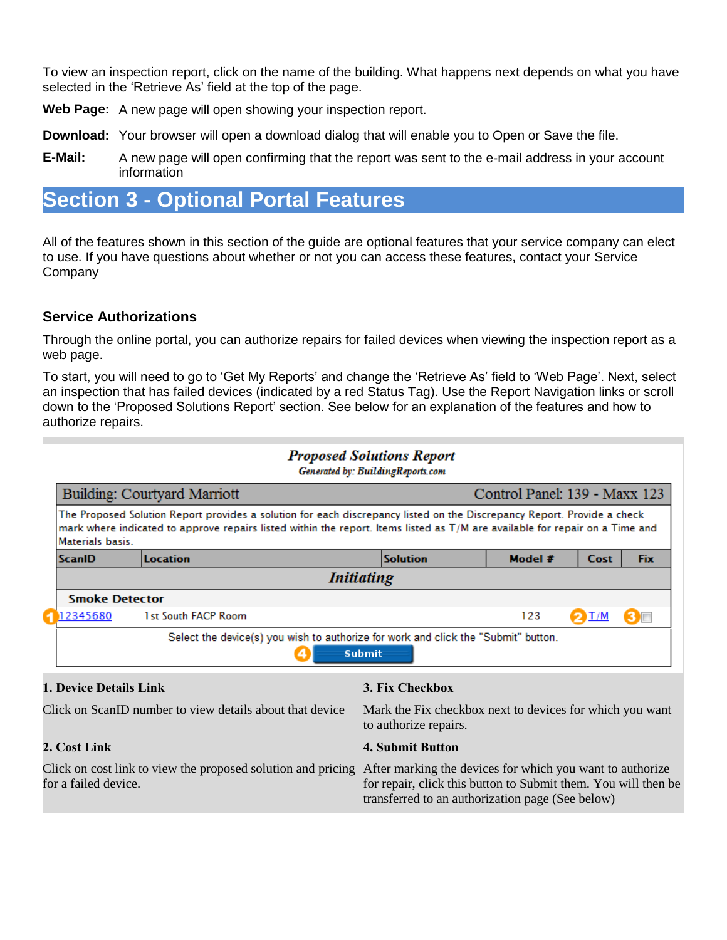To view an inspection report, click on the name of the building. What happens next depends on what you have selected in the 'Retrieve As' field at the top of the page.

**Web Page:** A new page will open showing your inspection report.

**Download:** Your browser will open a download dialog that will enable you to Open or Save the file.

**E-Mail:** A new page will open confirming that the report was sent to the e-mail address in your account information

## **Section 3 - Optional Portal Features**

All of the features shown in this section of the guide are optional features that your service company can elect to use. If you have questions about whether or not you can access these features, contact your Service Company

#### **Service Authorizations**

Through the online portal, you can authorize repairs for failed devices when viewing the inspection report as a web page.

To start, you will need to go to 'Get My Reports' and change the 'Retrieve As' field to 'Web Page'. Next, select an inspection that has failed devices (indicated by a red Status Tag). Use the Report Navigation links or scroll down to the 'Proposed Solutions Report' section. See below for an explanation of the features and how to authorize repairs.

|                        |                                                                                                                                                                                                                                                         | <b>Proposed Solutions Report</b><br>Generated by: BuildingReports.com             |                               |      |            |
|------------------------|---------------------------------------------------------------------------------------------------------------------------------------------------------------------------------------------------------------------------------------------------------|-----------------------------------------------------------------------------------|-------------------------------|------|------------|
|                        | Building: Courtyard Marriott                                                                                                                                                                                                                            |                                                                                   | Control Panel: 139 - Maxx 123 |      |            |
| Materials basis.       | The Proposed Solution Report provides a solution for each discrepancy listed on the Discrepancy Report. Provide a check<br>mark where indicated to approve repairs listed within the report. Items listed as T/M are available for repair on a Time and |                                                                                   |                               |      |            |
| ScanID                 | <b>Location</b>                                                                                                                                                                                                                                         | <b>Solution</b>                                                                   | Model $#$                     | Cost | <b>Fix</b> |
|                        |                                                                                                                                                                                                                                                         | <i>Initiating</i>                                                                 |                               |      |            |
| <b>Smoke Detector</b>  |                                                                                                                                                                                                                                                         |                                                                                   |                               |      |            |
| 12345680               | 1st South FACP Room                                                                                                                                                                                                                                     |                                                                                   | 123                           | I/M  | 3 <b>F</b> |
|                        | Select the device(s) you wish to authorize for work and click the "Submit" button.                                                                                                                                                                      | <b>Submit</b>                                                                     |                               |      |            |
| 1. Device Details Link |                                                                                                                                                                                                                                                         | 3. Fix Checkbox                                                                   |                               |      |            |
|                        | Click on ScanID number to view details about that device                                                                                                                                                                                                | Mark the Fix checkbox next to devices for which you want<br>to authorize repairs. |                               |      |            |

for a failed device.

#### **2. Cost Link 4. Submit Button**

Click on cost link to view the proposed solution and pricing After marking the devices for which you want to authorize for repair, click this button to Submit them. You will then be transferred to an authorization page (See below)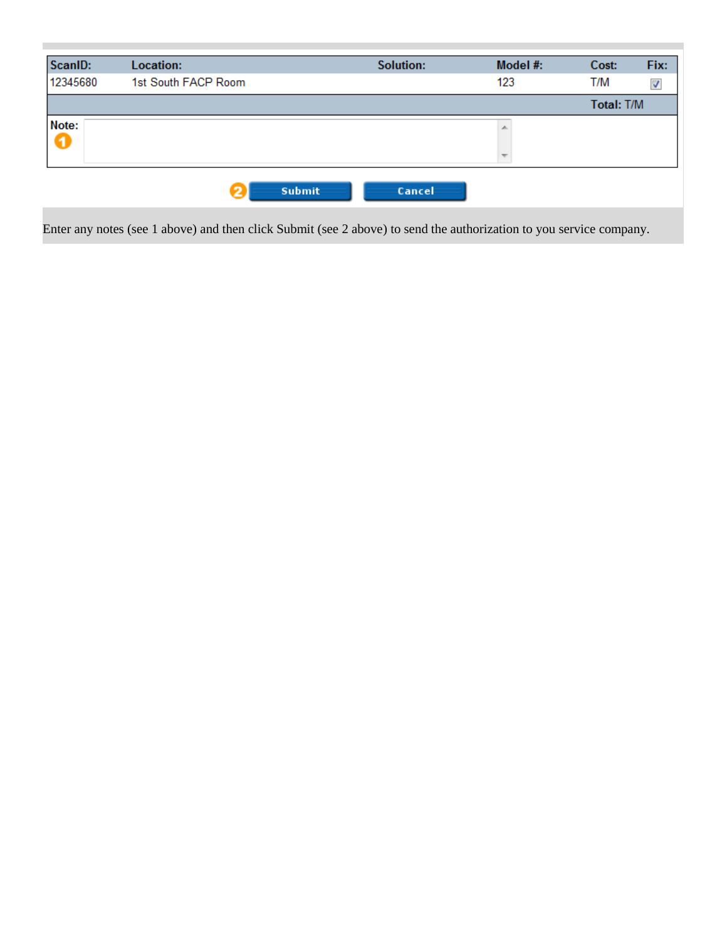

Enter any notes (see 1 above) and then click Submit (see 2 above) to send the authorization to you service company.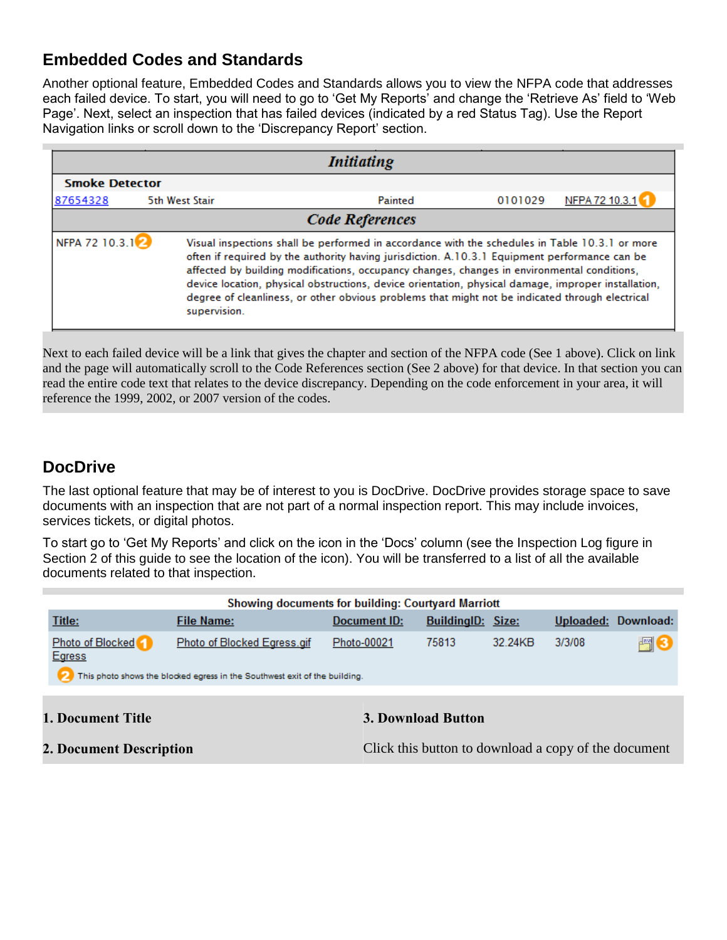### **Embedded Codes and Standards**

Another optional feature, Embedded Codes and Standards allows you to view the NFPA code that addresses each failed device. To start, you will need to go to 'Get My Reports' and change the 'Retrieve As' field to 'Web Page'. Next, select an inspection that has failed devices (indicated by a red Status Tag). Use the Report Navigation links or scroll down to the 'Discrepancy Report' section.

|                             |                | <b>Initiating</b>                                                                                                                                                                                                                                                                                                                                                                                                                                                                                        |         |                |
|-----------------------------|----------------|----------------------------------------------------------------------------------------------------------------------------------------------------------------------------------------------------------------------------------------------------------------------------------------------------------------------------------------------------------------------------------------------------------------------------------------------------------------------------------------------------------|---------|----------------|
| <b>Smoke Detector</b>       |                |                                                                                                                                                                                                                                                                                                                                                                                                                                                                                                          |         |                |
| 87654328                    | 5th West Stair | Painted                                                                                                                                                                                                                                                                                                                                                                                                                                                                                                  | 0101029 | NFPA 72 10.3.1 |
|                             |                | <b>Code References</b>                                                                                                                                                                                                                                                                                                                                                                                                                                                                                   |         |                |
| NFPA 72 10.3.1 <sup>2</sup> | supervision.   | Visual inspections shall be performed in accordance with the schedules in Table 10.3.1 or more<br>often if required by the authority having jurisdiction. A.10.3.1 Equipment performance can be<br>affected by building modifications, occupancy changes, changes in environmental conditions,<br>device location, physical obstructions, device orientation, physical damage, improper installation,<br>degree of cleanliness, or other obvious problems that might not be indicated through electrical |         |                |

Next to each failed device will be a link that gives the chapter and section of the NFPA code (See 1 above). Click on link and the page will automatically scroll to the Code References section (See 2 above) for that device. In that section you can read the entire code text that relates to the device discrepancy. Depending on the code enforcement in your area, it will reference the 1999, 2002, or 2007 version of the codes.

#### **DocDrive**

The last optional feature that may be of interest to you is DocDrive. DocDrive provides storage space to save documents with an inspection that are not part of a normal inspection report. This may include invoices, services tickets, or digital photos.

To start go to 'Get My Reports' and click on the icon in the 'Docs' column (see the Inspection Log figure in Section 2 of this guide to see the location of the icon). You will be transferred to a list of all the available documents related to that inspection.

|                                   | <b>Showing documents for building: Courtyard Marriott</b>                                                 |              |                          |         |           |           |
|-----------------------------------|-----------------------------------------------------------------------------------------------------------|--------------|--------------------------|---------|-----------|-----------|
| Title:                            | <b>File Name:</b>                                                                                         | Document ID: | <b>BuildingID: Size:</b> |         | Uploaded: | Download: |
| Photo of Blocked<br><b>Egress</b> | Photo of Blocked Egress.gif<br>This photo shows the blocked egress in the Southwest exit of the building. | Photo-00021  | 75813                    | 32 24KB | 3/3/08    | 骨         |
| <b>1. Document Title</b>          |                                                                                                           |              | 3. Download Button       |         |           |           |

**2. Document Description** Click this button to download a copy of the document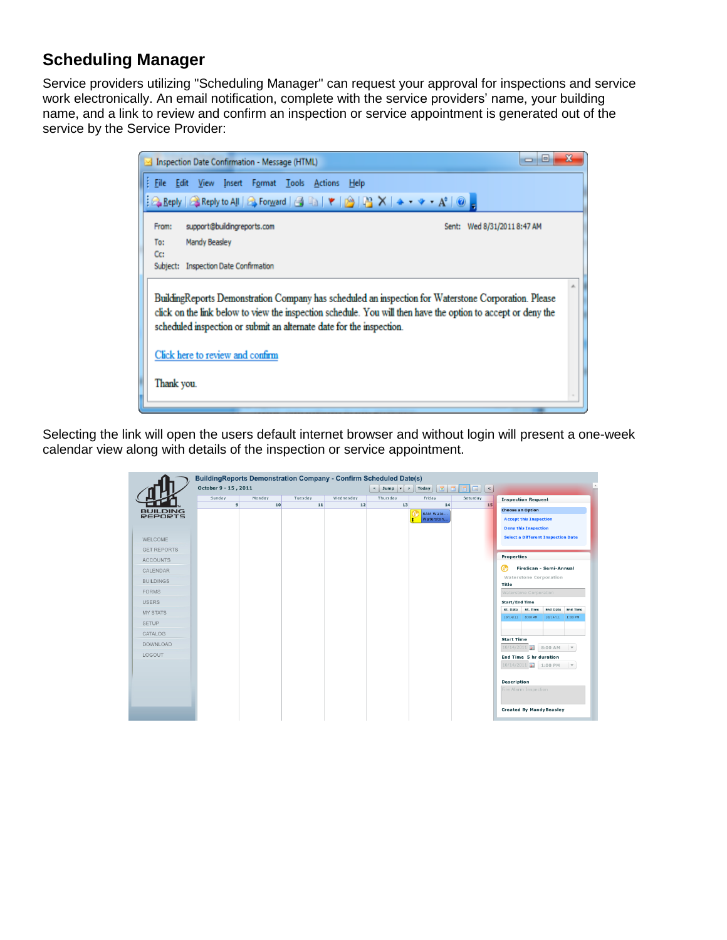#### **Scheduling Manager**

Service providers utilizing "Scheduling Manager" can request your approval for inspections and service work electronically. An email notification, complete with the service providers' name, your building name, and a link to review and confirm an inspection or service appointment is generated out of the service by the Service Provider:



Selecting the link will open the users default internet browser and without login will present a one-week calendar view along with details of the inspection or service appointment.

|                                                                                                                                                                                                                                                | October 9 - 15, 2011 | <b>BuildingReports Demonstration Company - Confirm Scheduled Date(s)</b> |               |                 | $\vert$ Jump $\vert$ $\vert$ > | $\boxed{16}$<br>Today                 | o I<br>$\vert$ < |                                                                                                                                                                                                                                                                                                                                                                                                             |                                                                                                                                                          |  |
|------------------------------------------------------------------------------------------------------------------------------------------------------------------------------------------------------------------------------------------------|----------------------|--------------------------------------------------------------------------|---------------|-----------------|--------------------------------|---------------------------------------|------------------|-------------------------------------------------------------------------------------------------------------------------------------------------------------------------------------------------------------------------------------------------------------------------------------------------------------------------------------------------------------------------------------------------------------|----------------------------------------------------------------------------------------------------------------------------------------------------------|--|
| <b>BUILDING</b><br><b>REPORTS</b><br><b>WELCOME</b><br><b>GET REPORTS</b><br><b>ACCOUNTS</b><br><b>CALENDAR</b><br><b>BUILDINGS</b><br><b>FORMS</b><br><b>USERS</b><br><b>MY STATS</b><br><b>SETUP</b><br>CATALOG<br><b>DOWNLOAD</b><br>LOGOUT | Sunday<br>9          | Monday<br>10                                                             | Tuesday<br>11 | Wednesday<br>12 | Thursday<br>13                 | Friday<br>14<br>8AM Wate<br>Waterston | Saturday<br>15   | <b>Inspection Request</b><br><b>Choose an Option</b><br><b>Accept this Inspection</b><br><b>Deny this Inspection</b><br><b>Properties</b><br>⊛<br>Waterstone Corporation<br>Title<br>Waterstone Corporation<br>Start/End Time<br>St. Time<br>St. Date<br>10/14/11 8:00 AM<br><b>Start Time</b><br>10/14/2011<br>End Time 5 hr duration<br>10/14/2011 1:00 PM<br><b>Description</b><br>Fire Alarm Inspection | <b>Select a Different Inspection Date</b><br>FireScan - Semi-Annual<br><b>End Date</b><br><b>End Time</b><br>10/14/11 1:00 PM<br>8:00 AM<br>$\mathbf{v}$ |  |
|                                                                                                                                                                                                                                                |                      |                                                                          |               |                 |                                |                                       |                  | <b>Created By MandyBeasley</b>                                                                                                                                                                                                                                                                                                                                                                              |                                                                                                                                                          |  |